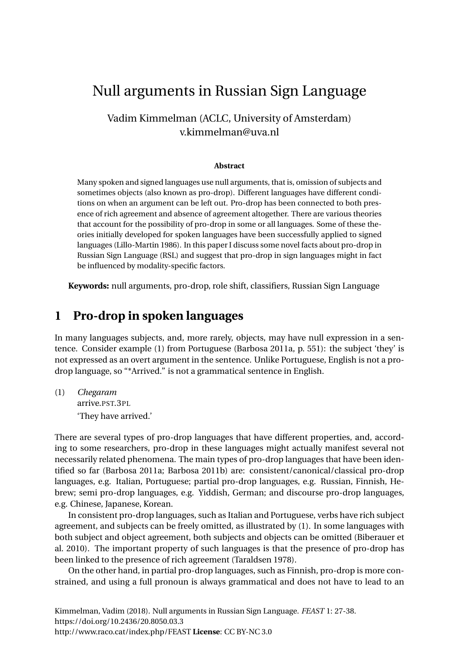# Null arguments in Russian Sign Language

#### Vadim Kimmelman (ACLC, University of Amsterdam) v.kimmelman@uva.nl

#### **Abstract**

Many spoken and signed languages use null arguments, that is, omission of subjects and sometimes objects (also known as pro-drop). Different languages have different conditions on when an argument can be left out. Pro-drop has been connected to both presence of rich agreement and absence of agreement altogether. There are various theories that account for the possibility of pro-drop in some or all languages. Some of these theories initially developed for spoken languages have been successfully applied to signed languages (Lillo-Martin [1986\)](#page-10-0). In this paper I discuss some novel facts about pro-drop in Russian Sign Language (RSL) and suggest that pro-drop in sign languages might in fact be influenced by modality-specific factors.

**Keywords:** null arguments, pro-drop, role shift, classifiers, Russian Sign Language

#### **1 Pro-drop in spoken languages**

In many languages subjects, and, more rarely, objects, may have null expression in a sentence. Consider example [\(1\)](#page-0-0) from Portuguese (Barbosa [2011a,](#page-10-1) p. 551): the subject 'they' is not expressed as an overt argument in the sentence. Unlike Portuguese, English is not a prodrop language, so "\*Arrived." is not a grammatical sentence in English.

<span id="page-0-0"></span>(1) *Chegaram* arrive.PST.3PL 'They have arrived.'

There are several types of pro-drop languages that have different properties, and, according to some researchers, pro-drop in these languages might actually manifest several not necessarily related phenomena. The main types of pro-drop languages that have been identified so far (Barbosa [2011a;](#page-10-1) Barbosa [2011b\)](#page-10-2) are: consistent/canonical/classical pro-drop languages, e.g. Italian, Portuguese; partial pro-drop languages, e.g. Russian, Finnish, Hebrew; semi pro-drop languages, e.g. Yiddish, German; and discourse pro-drop languages, e.g. Chinese, Japanese, Korean.

In consistent pro-drop languages, such as Italian and Portuguese, verbs have rich subject agreement, and subjects can be freely omitted, as illustrated by [\(1\)](#page-0-0). In some languages with both subject and object agreement, both subjects and objects can be omitted (Biberauer et al. [2010\)](#page-10-3). The important property of such languages is that the presence of pro-drop has been linked to the presence of rich agreement (Taraldsen [1978\)](#page-11-0).

On the other hand, in partial pro-drop languages, such as Finnish, pro-drop is more constrained, and using a full pronoun is always grammatical and does not have to lead to an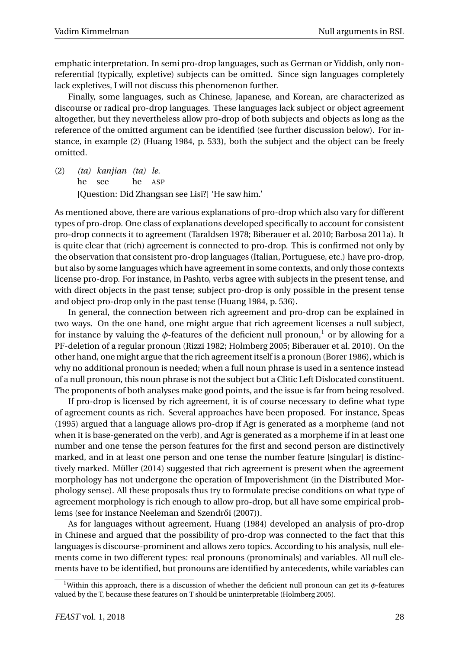emphatic interpretation. In semi pro-drop languages, such as German or Yiddish, only nonreferential (typically, expletive) subjects can be omitted. Since sign languages completely lack expletives, I will not discuss this phenomenon further.

Finally, some languages, such as Chinese, Japanese, and Korean, are characterized as discourse or radical pro-drop languages. These languages lack subject or object agreement altogether, but they nevertheless allow pro-drop of both subjects and objects as long as the reference of the omitted argument can be identified (see further discussion below). For instance, in example [\(2\)](#page-1-0) (Huang [1984,](#page-10-4) p. 533), both the subject and the object can be freely omitted.

<span id="page-1-0"></span>(2) *(ta) kanjian (ta) le.* he see he ASP [Question: Did Zhangsan see Lisi?] 'He saw him.'

As mentioned above, there are various explanations of pro-drop which also vary for different types of pro-drop. One class of explanations developed specifically to account for consistent pro-drop connects it to agreement (Taraldsen [1978;](#page-11-0) Biberauer et al. [2010;](#page-10-3) Barbosa [2011a\)](#page-10-1). It is quite clear that (rich) agreement is connected to pro-drop. This is confirmed not only by the observation that consistent pro-drop languages (Italian, Portuguese, etc.) have pro-drop, but also by some languages which have agreement in some contexts, and only those contexts license pro-drop. For instance, in Pashto, verbs agree with subjects in the present tense, and with direct objects in the past tense; subject pro-drop is only possible in the present tense and object pro-drop only in the past tense (Huang [1984,](#page-10-4) p. 536).

In general, the connection between rich agreement and pro-drop can be explained in two ways. On the one hand, one might argue that rich agreement licenses a null subject, for instance by valuing the  $\phi$ -features of the deficient null pronoun,<sup>[1](#page-1-1)</sup> or by allowing for a PF-deletion of a regular pronoun (Rizzi [1982;](#page-11-1) Holmberg [2005;](#page-10-5) Biberauer et al. [2010\)](#page-10-3). On the other hand, one might argue that the rich agreement itself is a pronoun (Borer [1986\)](#page-10-6), which is why no additional pronoun is needed; when a full noun phrase is used in a sentence instead of a null pronoun, this noun phrase is not the subject but a Clitic Left Dislocated constituent. The proponents of both analyses make good points, and the issue is far from being resolved.

If pro-drop is licensed by rich agreement, it is of course necessary to define what type of agreement counts as rich. Several approaches have been proposed. For instance, Speas [\(1995\)](#page-11-2) argued that a language allows pro-drop if Agr is generated as a morpheme (and not when it is base-generated on the verb), and Agr is generated as a morpheme if in at least one number and one tense the person features for the first and second person are distinctively marked, and in at least one person and one tense the number feature [singular] is distinctively marked. Müller [\(2014\)](#page-11-3) suggested that rich agreement is present when the agreement morphology has not undergone the operation of Impoverishment (in the Distributed Morphology sense). All these proposals thus try to formulate precise conditions on what type of agreement morphology is rich enough to allow pro-drop, but all have some empirical prob-lems (see for instance Neeleman and Szendrői [\(2007\)](#page-11-4)).

As for languages without agreement, Huang [\(1984\)](#page-10-4) developed an analysis of pro-drop in Chinese and argued that the possibility of pro-drop was connected to the fact that this languages is discourse-prominent and allows zero topics. According to his analysis, null elements come in two different types: real pronouns (pronominals) and variables. All null elements have to be identified, but pronouns are identified by antecedents, while variables can

<span id="page-1-1"></span><sup>&</sup>lt;sup>1</sup>Within this approach, there is a discussion of whether the deficient null pronoun can get its  $\phi$ -features valued by the T, because these features on T should be uninterpretable (Holmberg [2005\)](#page-10-5).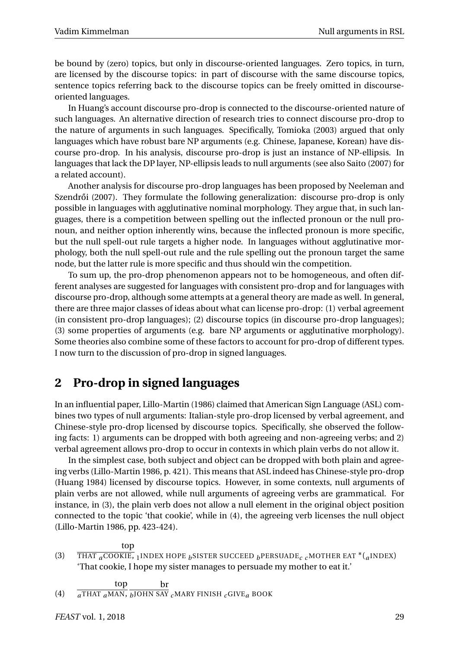be bound by (zero) topics, but only in discourse-oriented languages. Zero topics, in turn, are licensed by the discourse topics: in part of discourse with the same discourse topics, sentence topics referring back to the discourse topics can be freely omitted in discourseoriented languages.

In Huang's account discourse pro-drop is connected to the discourse-oriented nature of such languages. An alternative direction of research tries to connect discourse pro-drop to the nature of arguments in such languages. Specifically, Tomioka [\(2003\)](#page-11-5) argued that only languages which have robust bare NP arguments (e.g. Chinese, Japanese, Korean) have discourse pro-drop. In his analysis, discourse pro-drop is just an instance of NP-ellipsis. In languages that lack the DP layer, NP-ellipsis leads to null arguments (see also Saito [\(2007\)](#page-11-6) for a related account).

Another analysis for discourse pro-drop languages has been proposed by Neeleman and Szendrői [\(2007\)](#page-11-4). They formulate the following generalization: discourse pro-drop is only possible in languages with agglutinative nominal morphology. They argue that, in such languages, there is a competition between spelling out the inflected pronoun or the null pronoun, and neither option inherently wins, because the inflected pronoun is more specific, but the null spell-out rule targets a higher node. In languages without agglutinative morphology, both the null spell-out rule and the rule spelling out the pronoun target the same node, but the latter rule is more specific and thus should win the competition.

To sum up, the pro-drop phenomenon appears not to be homogeneous, and often different analyses are suggested for languages with consistent pro-drop and for languages with discourse pro-drop, although some attempts at a general theory are made as well. In general, there are three major classes of ideas about what can license pro-drop: (1) verbal agreement (in consistent pro-drop languages); (2) discourse topics (in discourse pro-drop languages); (3) some properties of arguments (e.g. bare NP arguments or agglutinative morphology). Some theories also combine some of these factors to account for pro-drop of different types. I now turn to the discussion of pro-drop in signed languages.

### **2 Pro-drop in signed languages**

In an influential paper, Lillo-Martin [\(1986\)](#page-10-0) claimed that American Sign Language (ASL) combines two types of null arguments: Italian-style pro-drop licensed by verbal agreement, and Chinese-style pro-drop licensed by discourse topics. Specifically, she observed the following facts: 1) arguments can be dropped with both agreeing and non-agreeing verbs; and 2) verbal agreement allows pro-drop to occur in contexts in which plain verbs do not allow it.

In the simplest case, both subject and object can be dropped with both plain and agreeing verbs (Lillo-Martin [1986,](#page-10-0) p. 421). This means that ASL indeed has Chinese-style pro-drop (Huang [1984\)](#page-10-4) licensed by discourse topics. However, in some contexts, null arguments of plain verbs are not allowed, while null arguments of agreeing verbs are grammatical. For instance, in [\(3\)](#page-2-0), the plain verb does not allow a null element in the original object position connected to the topic 'that cookie', while in [\(4\)](#page-2-1), the agreeing verb licenses the null object (Lillo-Martin [1986,](#page-10-0) pp. 423-424).

<span id="page-2-0"></span>(3) top THAT *<sup>a</sup>*COOKIE, <sup>1</sup>INDEX HOPE *<sup>b</sup>* SISTER SUCCEED *<sup>b</sup>*PERSUADE*c c* MOTHER EAT \*(*<sup>a</sup>* INDEX) 'That cookie, I hope my sister manages to persuade my mother to eat it.'

<span id="page-2-1"></span>(4) top *<sup>a</sup>*THAT *<sup>a</sup>*MAN, *b* JOHN SAY *c* MARY FINISH *c* GIVE*a* BOOK br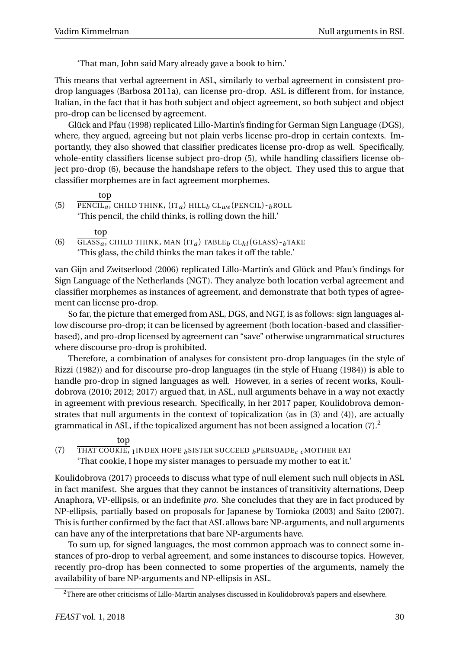'That man, John said Mary already gave a book to him.'

This means that verbal agreement in ASL, similarly to verbal agreement in consistent prodrop languages (Barbosa [2011a\)](#page-10-1), can license pro-drop. ASL is different from, for instance, Italian, in the fact that it has both subject and object agreement, so both subject and object pro-drop can be licensed by agreement.

Glück and Pfau [\(1998\)](#page-10-7) replicated Lillo-Martin's finding for German Sign Language (DGS), where, they argued, agreeing but not plain verbs license pro-drop in certain contexts. Importantly, they also showed that classifier predicates license pro-drop as well. Specifically, whole-entity classifiers license subject pro-drop [\(5\)](#page-3-0), while handling classifiers license object pro-drop [\(6\)](#page-3-1), because the handshape refers to the object. They used this to argue that classifier morphemes are in fact agreement morphemes.

```
top
```
<span id="page-3-0"></span>(5)  $\overline{\text{PENCIL}_a}$ , CHILD THINK,  $(\text{IT}_a)$  HILL<sub>b</sub> CL<sub>we</sub> (PENCIL) - <sub>b</sub>ROLL 'This pencil, the child thinks, is rolling down the hill.'

top

<span id="page-3-1"></span>(6)  $\overline{GLASS_a}$ , CHILD THINK, MAN (IT<sub>a</sub>) TABLE<sub>*b*</sub> CL<sub>hl</sub> (GLASS) - <sub>b</sub>TAKE 'This glass, the child thinks the man takes it off the table.'

van Gijn and Zwitserlood [\(2006\)](#page-11-7) replicated Lillo-Martin's and Glück and Pfau's findings for Sign Language of the Netherlands (NGT). They analyze both location verbal agreement and classifier morphemes as instances of agreement, and demonstrate that both types of agreement can license pro-drop.

So far, the picture that emerged from ASL, DGS, and NGT, is as follows: sign languages allow discourse pro-drop; it can be licensed by agreement (both location-based and classifierbased), and pro-drop licensed by agreement can "save" otherwise ungrammatical structures where discourse pro-drop is prohibited.

Therefore, a combination of analyses for consistent pro-drop languages (in the style of Rizzi [\(1982\)](#page-11-1)) and for discourse pro-drop languages (in the style of Huang [\(1984\)](#page-10-4)) is able to handle pro-drop in signed languages as well. However, in a series of recent works, Koulidobrova (2010; 2012; 2017) argued that, in ASL, null arguments behave in a way not exactly in agreement with previous research. Specifically, in her 2017 paper, Koulidobrova demonstrates that null arguments in the context of topicalization (as in [\(3\)](#page-2-0) and [\(4\)](#page-2-1)), are actually grammatical in ASL, if the topicalized argument has not been assigned a location  $(7).^2$  $(7).^2$  $(7).^2$ 

#### top

<span id="page-3-2"></span>(7) THAT COOKIE, <sup>1</sup>INDEX HOPE *<sup>b</sup>* SISTER SUCCEED *<sup>b</sup>*PERSUADE*c c* MOTHER EAT 'That cookie, I hope my sister manages to persuade my mother to eat it.'

Koulidobrova [\(2017\)](#page-10-8) proceeds to discuss what type of null element such null objects in ASL in fact manifest. She argues that they cannot be instances of transitivity alternations, Deep Anaphora, VP-ellipsis, or an indefinite *pro*. She concludes that they are in fact produced by NP-ellipsis, partially based on proposals for Japanese by Tomioka [\(2003\)](#page-11-5) and Saito [\(2007\)](#page-11-6). This is further confirmed by the fact that ASL allows bare NP-arguments, and null arguments can have any of the interpretations that bare NP-arguments have.

To sum up, for signed languages, the most common approach was to connect some instances of pro-drop to verbal agreement, and some instances to discourse topics. However, recently pro-drop has been connected to some properties of the arguments, namely the availability of bare NP-arguments and NP-ellipsis in ASL.

<span id="page-3-3"></span><sup>&</sup>lt;sup>2</sup>There are other criticisms of Lillo-Martin analyses discussed in Koulidobrova's papers and elsewhere.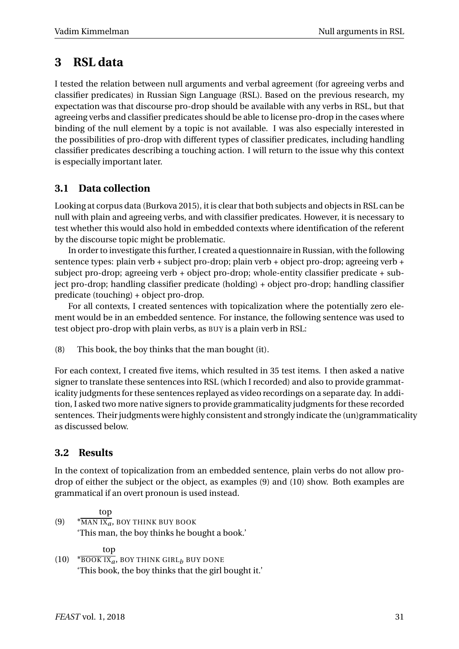### **3 RSL data**

I tested the relation between null arguments and verbal agreement (for agreeing verbs and classifier predicates) in Russian Sign Language (RSL). Based on the previous research, my expectation was that discourse pro-drop should be available with any verbs in RSL, but that agreeing verbs and classifier predicates should be able to license pro-drop in the cases where binding of the null element by a topic is not available. I was also especially interested in the possibilities of pro-drop with different types of classifier predicates, including handling classifier predicates describing a touching action. I will return to the issue why this context is especially important later.

### **3.1 Data collection**

Looking at corpus data (Burkova [2015\)](#page-10-9), it is clear that both subjects and objects in RSL can be null with plain and agreeing verbs, and with classifier predicates. However, it is necessary to test whether this would also hold in embedded contexts where identification of the referent by the discourse topic might be problematic.

In order to investigate this further, I created a questionnaire in Russian, with the following sentence types: plain verb + subject pro-drop; plain verb + object pro-drop; agreeing verb + subject pro-drop; agreeing verb + object pro-drop; whole-entity classifier predicate + subject pro-drop; handling classifier predicate (holding) + object pro-drop; handling classifier predicate (touching) + object pro-drop.

For all contexts, I created sentences with topicalization where the potentially zero element would be in an embedded sentence. For instance, the following sentence was used to test object pro-drop with plain verbs, as BUY is a plain verb in RSL:

(8) This book, the boy thinks that the man bought (it).

For each context, I created five items, which resulted in 35 test items. I then asked a native signer to translate these sentences into RSL (which I recorded) and also to provide grammaticality judgments for these sentences replayed as video recordings on a separate day. In addition, I asked two more native signers to provide grammaticality judgments for these recorded sentences. Their judgments were highly consistent and strongly indicate the (un)grammaticality as discussed below.

### **3.2 Results**

In the context of topicalization from an embedded sentence, plain verbs do not allow prodrop of either the subject or the object, as examples [\(9\)](#page-4-0) and [\(10\)](#page-4-1) show. Both examples are grammatical if an overt pronoun is used instead.

<span id="page-4-0"></span> $(9)$ top MAN IX*a*, BOY THINK BUY BOOK 'This man, the boy thinks he bought a book.'

top

<span id="page-4-1"></span> $(10)$  \*  $\overline{{\rm{Boost~IX}}_{a}},$  BOY THINK GIRL $_{b}$  BUY DONE 'This book, the boy thinks that the girl bought it.'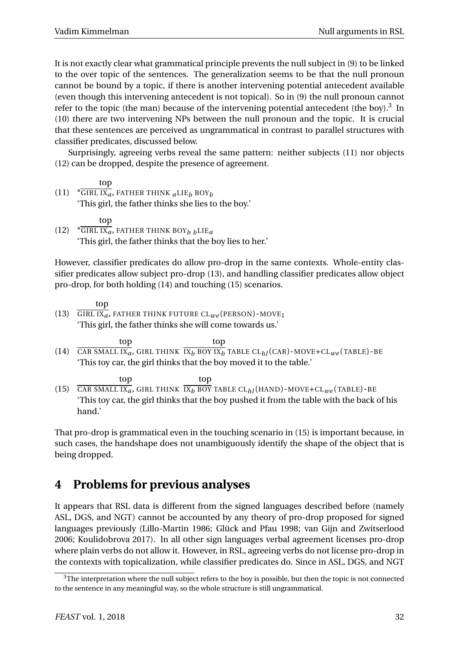It is not exactly clear what grammatical principle prevents the null subject in [\(9\)](#page-4-0) to be linked to the over topic of the sentences. The generalization seems to be that the null pronoun cannot be bound by a topic, if there is another intervening potential antecedent available (even though this intervening antecedent is not topical). So in [\(9\)](#page-4-0) the null pronoun cannot refer to the topic (the man) because of the intervening potential antecedent (the boy).<sup>[3](#page-5-0)</sup> In [\(10\)](#page-4-1) there are two intervening NPs between the null pronoun and the topic. It is crucial that these sentences are perceived as ungrammatical in contrast to parallel structures with classifier predicates, discussed below.

Surprisingly, agreeing verbs reveal the same pattern: neither subjects [\(11\)](#page-5-1) nor objects [\(12\)](#page-5-2) can be dropped, despite the presence of agreement.

- <span id="page-5-1"></span> $(11)$  \* GIRL IX<sub>a</sub>, FATHER THINK  $_{a}$ LIE<sub>b</sub> BOY<sub>b</sub> top 'This girl, the father thinks she lies to the boy.'
- <span id="page-5-2"></span>(12) \* GIRL IX*a*, FATHER THINK BOY*b b*LIE*<sup>a</sup>* top 'This girl, the father thinks that the boy lies to her.'

However, classifier predicates do allow pro-drop in the same contexts. Whole-entity classifier predicates allow subject pro-drop [\(13\)](#page-5-3), and handling classifier predicates allow object pro-drop, for both holding [\(14\)](#page-5-4) and touching [\(15\)](#page-5-5) scenarios.

- <span id="page-5-3"></span>(13) GIRL IX*a*, FATHER THINK FUTURE CL*we* (PERSON)-MOVE<sup>1</sup> top 'This girl, the father thinks she will come towards us.'
- <span id="page-5-4"></span>(14) CAR SMALL IX<sub>a</sub>, GIRL THINK  $\overline{IX_b}$  BOY IX<sub>b</sub> TABLE CL<sub>hl</sub> (CAR) - MOVE+CL<sub>we</sub> (TABLE) - BE top top 'This toy car, the girl thinks that the boy moved it to the table.'
- <span id="page-5-5"></span>(15) top CAR SMALL IX*a*, GIRL THINK top IX*<sup>b</sup>* BOY TABLE CL*hl*(HAND)-MOVE+CL*we* (TABLE)-BE 'This toy car, the girl thinks that the boy pushed it from the table with the back of his hand.'

That pro-drop is grammatical even in the touching scenario in [\(15\)](#page-5-5) is important because, in such cases, the handshape does not unambiguously identify the shape of the object that is being dropped.

## **4 Problems for previous analyses**

It appears that RSL data is different from the signed languages described before (namely ASL, DGS, and NGT) cannot be accounted by any theory of pro-drop proposed for signed languages previously (Lillo-Martin [1986;](#page-10-0) Glück and Pfau [1998;](#page-10-7) van Gijn and Zwitserlood [2006;](#page-11-7) Koulidobrova [2017\)](#page-10-8). In all other sign languages verbal agreement licenses pro-drop where plain verbs do not allow it. However, in RSL, agreeing verbs do not license pro-drop in the contexts with topicalization, while classifier predicates do. Since in ASL, DGS, and NGT

<span id="page-5-0"></span><sup>&</sup>lt;sup>3</sup>The interpretation where the null subject refers to the boy is possible, but then the topic is not connected to the sentence in any meaningful way, so the whole structure is still ungrammatical.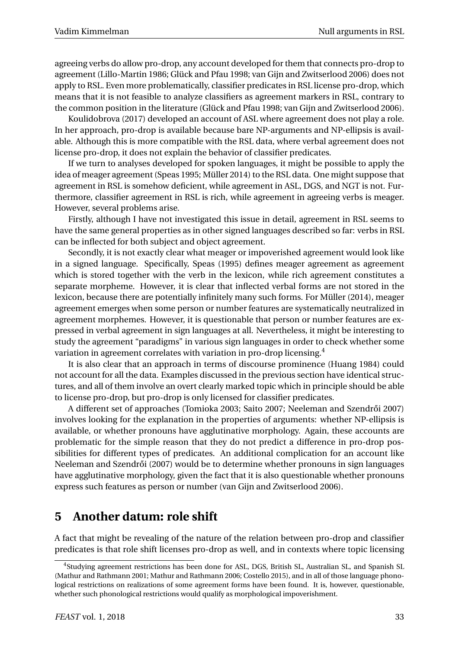agreeing verbs do allow pro-drop, any account developed for them that connects pro-drop to agreement (Lillo-Martin [1986;](#page-10-0) Glück and Pfau [1998;](#page-10-7) van Gijn and Zwitserlood [2006\)](#page-11-7) does not apply to RSL. Even more problematically, classifier predicates in RSL license pro-drop, which means that it is not feasible to analyze classifiers as agreement markers in RSL, contrary to the common position in the literature (Glück and Pfau [1998;](#page-10-7) van Gijn and Zwitserlood [2006\)](#page-11-7).

Koulidobrova [\(2017\)](#page-10-8) developed an account of ASL where agreement does not play a role. In her approach, pro-drop is available because bare NP-arguments and NP-ellipsis is available. Although this is more compatible with the RSL data, where verbal agreement does not license pro-drop, it does not explain the behavior of classifier predicates.

If we turn to analyses developed for spoken languages, it might be possible to apply the idea of meager agreement (Speas [1995;](#page-11-2) Müller [2014\)](#page-11-3) to the RSL data. One might suppose that agreement in RSL is somehow deficient, while agreement in ASL, DGS, and NGT is not. Furthermore, classifier agreement in RSL is rich, while agreement in agreeing verbs is meager. However, several problems arise.

Firstly, although I have not investigated this issue in detail, agreement in RSL seems to have the same general properties as in other signed languages described so far: verbs in RSL can be inflected for both subject and object agreement.

Secondly, it is not exactly clear what meager or impoverished agreement would look like in a signed language. Specifically, Speas [\(1995\)](#page-11-2) defines meager agreement as agreement which is stored together with the verb in the lexicon, while rich agreement constitutes a separate morpheme. However, it is clear that inflected verbal forms are not stored in the lexicon, because there are potentially infinitely many such forms. For Müller [\(2014\)](#page-11-3), meager agreement emerges when some person or number features are systematically neutralized in agreement morphemes. However, it is questionable that person or number features are expressed in verbal agreement in sign languages at all. Nevertheless, it might be interesting to study the agreement "paradigms" in various sign languages in order to check whether some variation in agreement correlates with variation in pro-drop licensing.[4](#page-6-0)

It is also clear that an approach in terms of discourse prominence (Huang [1984\)](#page-10-4) could not account for all the data. Examples discussed in the previous section have identical structures, and all of them involve an overt clearly marked topic which in principle should be able to license pro-drop, but pro-drop is only licensed for classifier predicates.

A different set of approaches (Tomioka [2003;](#page-11-5) Saito [2007;](#page-11-6) Neeleman and Szendrői [2007\)](#page-11-4) involves looking for the explanation in the properties of arguments: whether NP-ellipsis is available, or whether pronouns have agglutinative morphology. Again, these accounts are problematic for the simple reason that they do not predict a difference in pro-drop possibilities for different types of predicates. An additional complication for an account like Neeleman and Szendrői [\(2007\)](#page-11-4) would be to determine whether pronouns in sign languages have agglutinative morphology, given the fact that it is also questionable whether pronouns express such features as person or number (van Gijn and Zwitserlood [2006\)](#page-11-7).

### **5 Another datum: role shift**

A fact that might be revealing of the nature of the relation between pro-drop and classifier predicates is that role shift licenses pro-drop as well, and in contexts where topic licensing

<span id="page-6-0"></span><sup>4</sup>Studying agreement restrictions has been done for ASL, DGS, British SL, Australian SL, and Spanish SL (Mathur and Rathmann [2001;](#page-11-8) Mathur and Rathmann [2006;](#page-11-9) Costello [2015\)](#page-10-10), and in all of those language phonological restrictions on realizations of some agreement forms have been found. It is, however, questionable, whether such phonological restrictions would qualify as morphological impoverishment.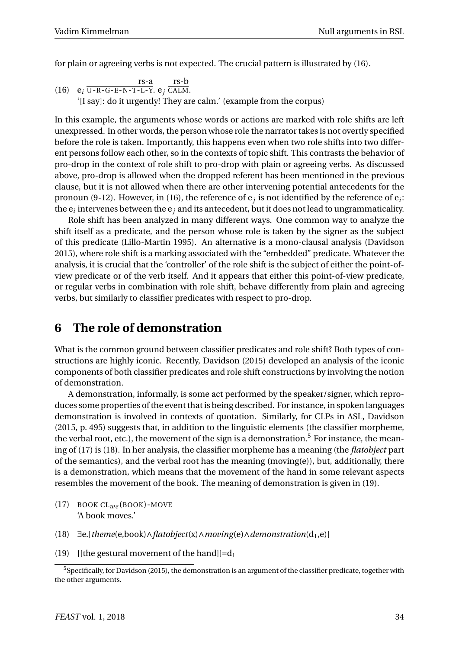for plain or agreeing verbs is not expected. The crucial pattern is illustrated by [\(16\)](#page-7-0).

<span id="page-7-0"></span>(16) 
$$
e_i \overline{U - R - G - E - N - T - L - Y}
$$
.  $e_j \overline{CALM}$ .  
\n'[I say]: do it urgently! They are calm.' (example from the corpus)

In this example, the arguments whose words or actions are marked with role shifts are left unexpressed. In other words, the person whose role the narrator takes is not overtly specified before the role is taken. Importantly, this happens even when two role shifts into two different persons follow each other, so in the contexts of topic shift. This contrasts the behavior of pro-drop in the context of role shift to pro-drop with plain or agreeing verbs. As discussed above, pro-drop is allowed when the dropped referent has been mentioned in the previous clause, but it is not allowed when there are other intervening potential antecedents for the pronoun [\(9](#page-4-0)[-12\)](#page-5-2). However, in [\(16\)](#page-7-0), the reference of  $e_j$  is not identified by the reference of  $e_i$ : the e*<sup>i</sup>* intervenes between the e*<sup>j</sup>* and its antecedent, but it does not lead to ungrammaticality.

Role shift has been analyzed in many different ways. One common way to analyze the shift itself as a predicate, and the person whose role is taken by the signer as the subject of this predicate (Lillo-Martin [1995\)](#page-10-11). An alternative is a mono-clausal analysis (Davidson [2015\)](#page-10-12), where role shift is a marking associated with the "embedded" predicate. Whatever the analysis, it is crucial that the 'controller' of the role shift is the subject of either the point-ofview predicate or of the verb itself. And it appears that either this point-of-view predicate, or regular verbs in combination with role shift, behave differently from plain and agreeing verbs, but similarly to classifier predicates with respect to pro-drop.

### **6 The role of demonstration**

What is the common ground between classifier predicates and role shift? Both types of constructions are highly iconic. Recently, Davidson [\(2015\)](#page-10-12) developed an analysis of the iconic components of both classifier predicates and role shift constructions by involving the notion of demonstration.

A demonstration, informally, is some act performed by the speaker/signer, which reproduces some properties of the event that is being described. For instance, in spoken languages demonstration is involved in contexts of quotation. Similarly, for CLPs in ASL, Davidson [\(2015,](#page-10-12) p. 495) suggests that, in addition to the linguistic elements (the classifier morpheme, the verbal root, etc.), the movement of the sign is a demonstration.<sup>[5](#page-7-1)</sup> For instance, the meaning of [\(17\)](#page-7-2) is [\(18\)](#page-7-3). In her analysis, the classifier morpheme has a meaning (the *flatobject* part of the semantics), and the verbal root has the meaning (moving(e)), but, additionally, there is a demonstration, which means that the movement of the hand in some relevant aspects resembles the movement of the book. The meaning of demonstration is given in [\(19\)](#page-7-4).

- <span id="page-7-2"></span>(17) BOOK CL*we* (BOOK)-MOVE 'A book moves.'
- <span id="page-7-3"></span>(18) ∃e.[*theme*(e,book)∧*flatobject*(x)∧*moving*(e)∧*demonstration*(d1,e)]
- <span id="page-7-4"></span>(19) [(the gestural movement of the hand]]=d<sub>1</sub>

<span id="page-7-1"></span><sup>5</sup>Specifically, for Davidson [\(2015\)](#page-10-12), the demonstration is an argument of the classifier predicate, together with the other arguments.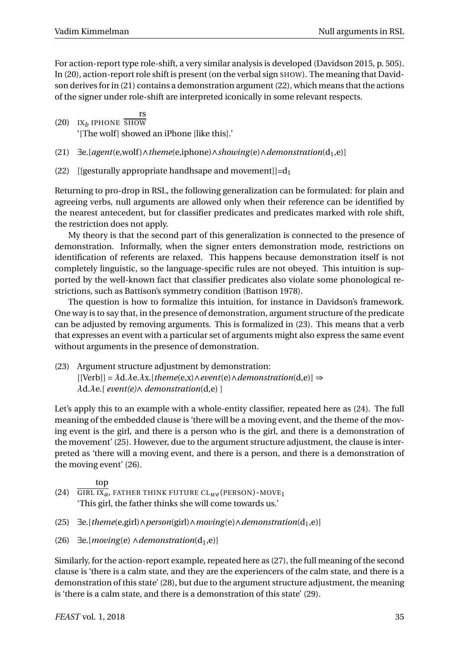For action-report type role-shift, a very similar analysis is developed (Davidson [2015,](#page-10-12) p. 505). In [\(20\)](#page-8-0), action-report role shift is present (on the verbal sign SHOW). The meaning that Davidson derives for in [\(21\)](#page-8-1) contains a demonstration argument [\(22\)](#page-8-2), which means that the actions of the signer under role-shift are interpreted iconically in some relevant respects.

<span id="page-8-0"></span>(20)  $IX_b$  IPHONE SHOW rs '[The wolf] showed an iPhone [like this].'

- <span id="page-8-1"></span>(21) ∃e.[*agent*(e,wolf )∧*theme*(e,iphone)∧*showing*(e)∧*demonstration*(d1,e)]
- <span id="page-8-2"></span>(22) [[gesturally appropriate handhsape and movement]]= $d_1$

Returning to pro-drop in RSL, the following generalization can be formulated: for plain and agreeing verbs, null arguments are allowed only when their reference can be identified by the nearest antecedent, but for classifier predicates and predicates marked with role shift, the restriction does not apply.

My theory is that the second part of this generalization is connected to the presence of demonstration. Informally, when the signer enters demonstration mode, restrictions on identification of referents are relaxed. This happens because demonstration itself is not completely linguistic, so the language-specific rules are not obeyed. This intuition is supported by the well-known fact that classifier predicates also violate some phonological restrictions, such as Battison's symmetry condition (Battison [1978\)](#page-10-13).

The question is how to formalize this intuition, for instance in Davidson's framework. One way is to say that, in the presence of demonstration, argument structure of the predicate can be adjusted by removing arguments. This is formalized in [\(23\)](#page-8-3). This means that a verb that expresses an event with a particular set of arguments might also express the same event without arguments in the presence of demonstration.

<span id="page-8-3"></span>(23) Argument structure adjustment by demonstration: [[Verb]] = *λ*d.*λ*e.*λ*x.[*theme*(e,x)∧*event*(e)∧*demonstration*(d,e)] ⇒ *λ*d.*λ*e.[ *event(e)*∧ *demonstration*(d,e) ]

Let's apply this to an example with a whole-entity classifier, repeated here as  $(24)$ . The full meaning of the embedded clause is 'there will be a moving event, and the theme of the moving event is the girl, and there is a person who is the girl, and there is a demonstration of the movement' [\(25\)](#page-8-5). However, due to the argument structure adjustment, the clause is interpreted as 'there will a moving event, and there is a person, and there is a demonstration of the moving event' [\(26\)](#page-8-6).

- <span id="page-8-4"></span>(24) GIRL IX*a*, FATHER THINK FUTURE CL*we* (PERSON)-MOVE<sup>1</sup> top 'This girl, the father thinks she will come towards us.'
- <span id="page-8-5"></span>(25) ∃e.[*theme*(e,girl)∧*person*(girl)∧*moving*(e)∧*demonstration*(d1,e)]
- <span id="page-8-6"></span>(26)  $\exists$ e.[*moving*(e) ∧*demonstration*(d<sub>1</sub>,e)]

Similarly, for the action-report example, repeated here as [\(27\)](#page-9-0), the full meaning of the second clause is 'there is a calm state, and they are the experiencers of the calm state, and there is a demonstration of this state' [\(28\)](#page-9-1), but due to the argument structure adjustment, the meaning is 'there is a calm state, and there is a demonstration of this state' [\(29\)](#page-9-2).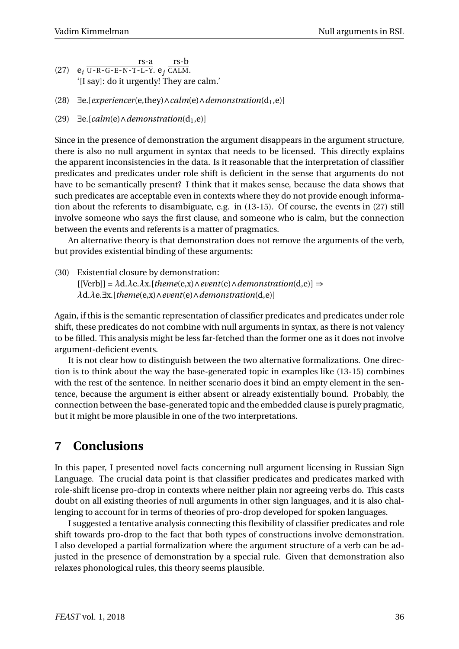<span id="page-9-0"></span>(27)  $e_i \overline{U-R-G-E-N-T-L-Y}$ .  $e_j \overline{CALM}$ . rs-a rs-b '[I say]: do it urgently! They are calm.'

- <span id="page-9-1"></span>(28) ∃e.[*experiencer*(e,they)∧*calm*(e)∧*demonstration*(d1,e)]
- <span id="page-9-2"></span>(29)  $\exists$ e.[*calm*(e)∧*demonstration*(d<sub>1</sub>,e)]

Since in the presence of demonstration the argument disappears in the argument structure, there is also no null argument in syntax that needs to be licensed. This directly explains the apparent inconsistencies in the data. Is it reasonable that the interpretation of classifier predicates and predicates under role shift is deficient in the sense that arguments do not have to be semantically present? I think that it makes sense, because the data shows that such predicates are acceptable even in contexts where they do not provide enough information about the referents to disambiguate, e.g. in [\(13](#page-5-3)[-15\)](#page-5-5). Of course, the events in [\(27\)](#page-9-0) still involve someone who says the first clause, and someone who is calm, but the connection between the events and referents is a matter of pragmatics.

An alternative theory is that demonstration does not remove the arguments of the verb, but provides existential binding of these arguments:

(30) Existential closure by demonstration:  $[[Verb]] = \lambda d.\lambda e.\lambda x.[\mathit{theme}(e,x) \land \mathit{event}(e) \land \mathit{demonstration}(d,e)] \Rightarrow$ *λ*d.*λ*e.∃x.[*theme*(e,x)∧*event*(e)∧*demonstration*(d,e)]

Again, if this is the semantic representation of classifier predicates and predicates under role shift, these predicates do not combine with null arguments in syntax, as there is not valency to be filled. This analysis might be less far-fetched than the former one as it does not involve argument-deficient events.

It is not clear how to distinguish between the two alternative formalizations. One direction is to think about the way the base-generated topic in examples like [\(13-](#page-5-3)[15\)](#page-5-5) combines with the rest of the sentence. In neither scenario does it bind an empty element in the sentence, because the argument is either absent or already existentially bound. Probably, the connection between the base-generated topic and the embedded clause is purely pragmatic, but it might be more plausible in one of the two interpretations.

### **7 Conclusions**

In this paper, I presented novel facts concerning null argument licensing in Russian Sign Language. The crucial data point is that classifier predicates and predicates marked with role-shift license pro-drop in contexts where neither plain nor agreeing verbs do. This casts doubt on all existing theories of null arguments in other sign languages, and it is also challenging to account for in terms of theories of pro-drop developed for spoken languages.

I suggested a tentative analysis connecting this flexibility of classifier predicates and role shift towards pro-drop to the fact that both types of constructions involve demonstration. I also developed a partial formalization where the argument structure of a verb can be adjusted in the presence of demonstration by a special rule. Given that demonstration also relaxes phonological rules, this theory seems plausible.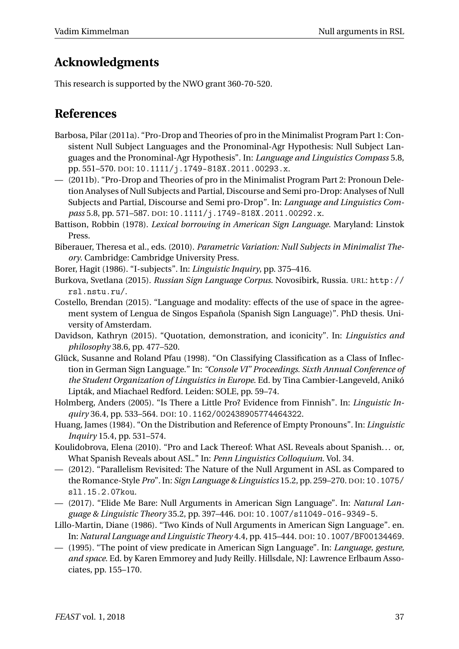## **Acknowledgments**

This research is supported by the NWO grant 360-70-520.

### **References**

- <span id="page-10-1"></span>Barbosa, Pilar (2011a). "Pro-Drop and Theories of pro in the Minimalist Program Part 1: Consistent Null Subject Languages and the Pronominal-Agr Hypothesis: Null Subject Languages and the Pronominal-Agr Hypothesis". In: *Language and Linguistics Compass* 5.8, pp. 551–570. DOI: [10.1111/j.1749-818X.2011.00293.x](http://dx.doi.org/10.1111/j.1749-818X.2011.00293.x).
- <span id="page-10-2"></span>— (2011b). "Pro-Drop and Theories of pro in the Minimalist Program Part 2: Pronoun Deletion Analyses of Null Subjects and Partial, Discourse and Semi pro-Drop: Analyses of Null Subjects and Partial, Discourse and Semi pro-Drop". In: *Language and Linguistics Compass* 5.8, pp. 571–587. DOI: [10.1111/j.1749-818X.2011.00292.x](http://dx.doi.org/10.1111/j.1749-818X.2011.00292.x).
- <span id="page-10-13"></span>Battison, Robbin (1978). *Lexical borrowing in American Sign Language.* Maryland: Linstok Press.
- <span id="page-10-3"></span>Biberauer, Theresa et al., eds. (2010). *Parametric Variation: Null Subjects in Minimalist Theory*. Cambridge: Cambridge University Press.
- <span id="page-10-6"></span>Borer, Hagit (1986). "I-subjects". In: *Linguistic Inquiry*, pp. 375–416.
- <span id="page-10-9"></span>Burkova, Svetlana (2015). *Russian Sign Language Corpus*. Novosibirk, Russia. URL: [http://](http://rsl.nstu.ru/) [rsl.nstu.ru/](http://rsl.nstu.ru/).
- <span id="page-10-10"></span>Costello, Brendan (2015). "Language and modality: effects of the use of space in the agreement system of Lengua de Singos Española (Spanish Sign Language)". PhD thesis. University of Amsterdam.
- <span id="page-10-12"></span>Davidson, Kathryn (2015). "Quotation, demonstration, and iconicity". In: *Linguistics and philosophy* 38.6, pp. 477–520.
- <span id="page-10-7"></span>Glück, Susanne and Roland Pfau (1998). "On Classifying Classification as a Class of Inflection in German Sign Language." In: *"Console VI" Proceedings. Sixth Annual Conference of the Student Organization of Linguistics in Europe*. Ed. by Tina Cambier-Langeveld, Anikó Lipták, and Miachael Redford. Leiden: SOLE, pp. 59–74.
- <span id="page-10-5"></span>Holmberg, Anders (2005). "Is There a Little Pro? Evidence from Finnish". In: *Linguistic Inquiry* 36.4, pp. 533–564. DOI: [10.1162/002438905774464322](http://dx.doi.org/10.1162/002438905774464322).
- <span id="page-10-4"></span>Huang, James (1984). "On the Distribution and Reference of Empty Pronouns". In: *Linguistic Inquiry* 15.4, pp. 531–574.
- Koulidobrova, Elena (2010). "Pro and Lack Thereof: What ASL Reveals about Spanish. . . or, What Spanish Reveals about ASL." In: *Penn Linguistics Colloquium*. Vol. 34.
- (2012). "Parallelism Revisited: The Nature of the Null Argument in ASL as Compared to the Romance-Style *Pro*". In: *Sign Language & Linguistics* 15.2, pp. 259–270. DOI: [10.1075/](http://dx.doi.org/10.1075/sll.15.2.07kou) [sll.15.2.07kou](http://dx.doi.org/10.1075/sll.15.2.07kou).
- <span id="page-10-8"></span>— (2017). "Elide Me Bare: Null Arguments in American Sign Language". In: *Natural Language & Linguistic Theory* 35.2, pp. 397–446. DOI: [10.1007/s11049-016-9349-5](http://dx.doi.org/10.1007/s11049-016-9349-5).
- <span id="page-10-0"></span>Lillo-Martin, Diane (1986). "Two Kinds of Null Arguments in American Sign Language". en. In: *Natural Language and Linguistic Theory* 4.4, pp. 415–444. DOI: [10.1007/BF00134469](http://dx.doi.org/10.1007/BF00134469).
- <span id="page-10-11"></span>— (1995). "The point of view predicate in American Sign Language". In: *Language, gesture, and space*. Ed. by Karen Emmorey and Judy Reilly. Hillsdale, NJ: Lawrence Erlbaum Associates, pp. 155–170.